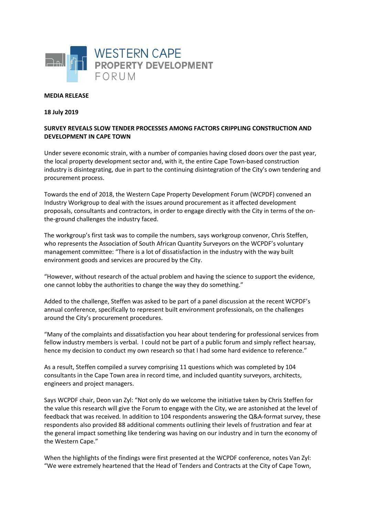

## **MEDIA RELEASE**

## **18 July 2019**

## **SURVEY REVEALS SLOW TENDER PROCESSES AMONG FACTORS CRIPPLING CONSTRUCTION AND DEVELOPMENT IN CAPE TOWN**

Under severe economic strain, with a number of companies having closed doors over the past year, the local property development sector and, with it, the entire Cape Town-based construction industry is disintegrating, due in part to the continuing disintegration of the City's own tendering and procurement process.

Towards the end of 2018, the Western Cape Property Development Forum (WCPDF) convened an Industry Workgroup to deal with the issues around procurement as it affected development proposals, consultants and contractors, in order to engage directly with the City in terms of the onthe-ground challenges the industry faced.

The workgroup's first task was to compile the numbers, says workgroup convenor, Chris Steffen, who represents the Association of South African Quantity Surveyors on the WCPDF's voluntary management committee: "There is a lot of dissatisfaction in the industry with the way built environment goods and services are procured by the City.

"However, without research of the actual problem and having the science to support the evidence, one cannot lobby the authorities to change the way they do something."

Added to the challenge, Steffen was asked to be part of a panel discussion at the recent WCPDF's annual conference, specifically to represent built environment professionals, on the challenges around the City's procurement procedures.

"Many of the complaints and dissatisfaction you hear about tendering for professional services from fellow industry members is verbal. I could not be part of a public forum and simply reflect hearsay, hence my decision to conduct my own research so that I had some hard evidence to reference."

As a result, Steffen compiled a survey comprising 11 questions which was completed by 104 consultants in the Cape Town area in record time, and included quantity surveyors, architects, engineers and project managers.

Says WCPDF chair, Deon van Zyl: "Not only do we welcome the initiative taken by Chris Steffen for the value this research will give the Forum to engage with the City, we are astonished at the level of feedback that was received. In addition to 104 respondents answering the Q&A-format survey, these respondents also provided 88 additional comments outlining their levels of frustration and fear at the general impact something like tendering was having on our industry and in turn the economy of the Western Cape."

When the highlights of the findings were first presented at the WCPDF conference, notes Van Zyl: "We were extremely heartened that the Head of Tenders and Contracts at the City of Cape Town,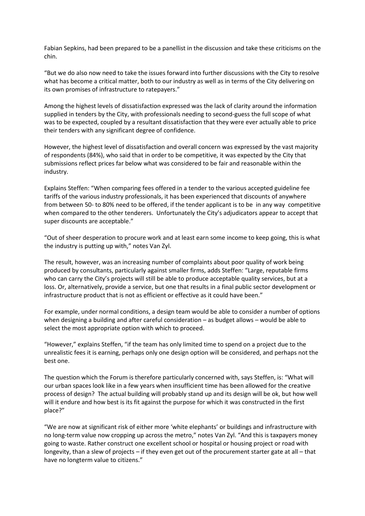Fabian Sepkins, had been prepared to be a panellist in the discussion and take these criticisms on the chin.

"But we do also now need to take the issues forward into further discussions with the City to resolve what has become a critical matter, both to our industry as well as in terms of the City delivering on its own promises of infrastructure to ratepayers."

Among the highest levels of dissatisfaction expressed was the lack of clarity around the information supplied in tenders by the City, with professionals needing to second-guess the full scope of what was to be expected, coupled by a resultant dissatisfaction that they were ever actually able to price their tenders with any significant degree of confidence.

However, the highest level of dissatisfaction and overall concern was expressed by the vast majority of respondents (84%), who said that in order to be competitive, it was expected by the City that submissions reflect prices far below what was considered to be fair and reasonable within the industry.

Explains Steffen: "When comparing fees offered in a tender to the various accepted guideline fee tariffs of the various industry professionals, it has been experienced that discounts of anywhere from between 50- to 80% need to be offered, if the tender applicant is to be in any way competitive when compared to the other tenderers. Unfortunately the City's adjudicators appear to accept that super discounts are acceptable."

"Out of sheer desperation to procure work and at least earn some income to keep going, this is what the industry is putting up with," notes Van Zyl.

The result, however, was an increasing number of complaints about poor quality of work being produced by consultants, particularly against smaller firms, adds Steffen: "Large, reputable firms who can carry the City's projects will still be able to produce acceptable quality services, but at a loss. Or, alternatively, provide a service, but one that results in a final public sector development or infrastructure product that is not as efficient or effective as it could have been."

For example, under normal conditions, a design team would be able to consider a number of options when designing a building and after careful consideration – as budget allows – would be able to select the most appropriate option with which to proceed.

"However," explains Steffen, "if the team has only limited time to spend on a project due to the unrealistic fees it is earning, perhaps only one design option will be considered, and perhaps not the best one.

The question which the Forum is therefore particularly concerned with, says Steffen, is: "What will our urban spaces look like in a few years when insufficient time has been allowed for the creative process of design? The actual building will probably stand up and its design will be ok, but how well will it endure and how best is its fit against the purpose for which it was constructed in the first place?"

"We are now at significant risk of either more 'white elephants' or buildings and infrastructure with no long-term value now cropping up across the metro," notes Van Zyl. "And this is taxpayers money going to waste. Rather construct one excellent school or hospital or housing project or road with longevity, than a slew of projects – if they even get out of the procurement starter gate at all – that have no longterm value to citizens."